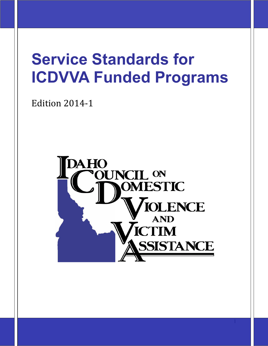# **Service Standards for ICDVVA Funded Programs**

Edition 2014-1

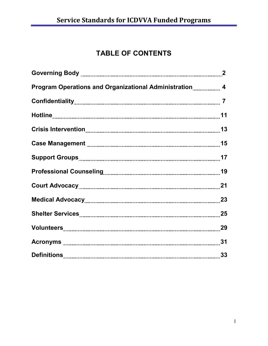# **TABLE OF CONTENTS**

| Program Operations and Organizational Administration 4 |    |
|--------------------------------------------------------|----|
|                                                        |    |
|                                                        |    |
|                                                        |    |
|                                                        |    |
|                                                        |    |
|                                                        |    |
| Court Advocacy 21                                      |    |
|                                                        |    |
|                                                        |    |
|                                                        |    |
|                                                        |    |
|                                                        | 33 |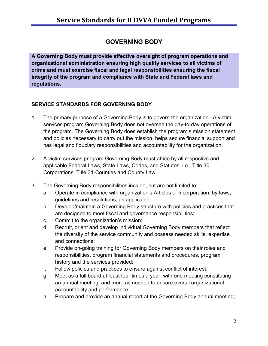## **GOVERNING BODY**

**A Governing Body must provide effective oversight of program operations and organizational administration ensuring high quality services to all victims of crime and must exercise fiscal and legal responsibilities ensuring the fiscal integrity of the program and compliance with State and Federal laws and regulations.**

## **SERVICE STANDARDS FOR GOVERNING BODY**

- 1. The primary purpose of a Governing Body is to govern the organization. A victim services program Governing Body does not oversee the day-to-day operations of the program. The Governing Body does establish the program's mission statement and policies necessary to carry out the mission, helps secure financial support and has legal and fiduciary responsibilities and accountability for the organization.
- 2. A victim services program Governing Body must abide by all respective and applicable Federal Laws, State Laws, Codes, and Statutes, i.e., Title 30- Corporations; Title 31-Counties and County Law.
- 3. The Governing Body responsibilities include, but are not limited to:
	- a. Operate in compliance with organization's Articles of Incorporation, by-laws, guidelines and resolutions, as applicable;
	- b. Develop/maintain a Governing Body structure with policies and practices that are designed to meet fiscal and governance responsibilities;
	- c. Commit to the organization's mission;
	- d. Recruit, orient and develop individual Governing Body members that reflect the diversity of the service community and possess needed skills, expertise and connections;
	- e. Provide on-going training for Governing Body members on their roles and responsibilities, program financial statements and procedures, program history and the services provided;
	- f. Follow policies and practices to ensure against conflict of interest;
	- g. Meet as a full board at least four times a year, with one meeting constituting an annual meeting, and more as needed to ensure overall organizational accountability and performance;
	- h. Prepare and provide an annual report at the Governing Body annual meeting;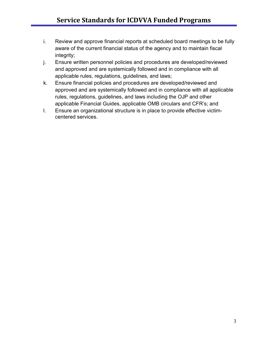- i. Review and approve financial reports at scheduled board meetings to be fully aware of the current financial status of the agency and to maintain fiscal integrity;
- j. Ensure written personnel policies and procedures are developed/reviewed and approved and are systemically followed and in compliance with all applicable rules, regulations, guidelines, and laws;
- k. Ensure financial policies and procedures are developed/reviewed and approved and are systemically followed and in compliance with all applicable rules, regulations, guidelines, and laws including the OJP and other applicable Financial Guides, applicable OMB circulars and CFR's; and
- l. Ensure an organizational structure is in place to provide effective victimcentered services.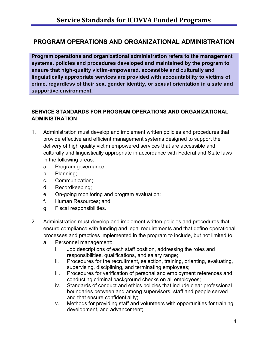## **PROGRAM OPERATIONS AND ORGANIZATIONAL ADMINISTRATION**

**Program operations and organizational administration refers to the management systems, policies and procedures developed and maintained by the program to ensure that high-quality victim-empowered, accessible and culturally and linguistically appropriate services are provided with accountability to victims of crime, regardless of their sex, gender identity, or sexual orientation in a safe and supportive environment.**

## **SERVICE STANDARDS FOR PROGRAM OPERATIONS AND ORGANIZATIONAL ADMINISTRATION**

- 1. Administration must develop and implement written policies and procedures that provide effective and efficient management systems designed to support the delivery of high quality victim empowered services that are accessible and culturally and linguistically appropriate in accordance with Federal and State laws in the following areas:
	- a. Program governance;
	- b. Planning;
	- c. Communication;
	- d. Recordkeeping;
	- e. On-going monitoring and program evaluation;
	- f. Human Resources; and
	- g. Fiscal responsibilities.
- 2. Administration must develop and implement written policies and procedures that ensure compliance with funding and legal requirements and that define operational processes and practices implemented in the program to include, but not limited to:
	- a. Personnel management:
		- i. Job descriptions of each staff position, addressing the roles and responsibilities, qualifications, and salary range;
		- ii. Procedures for the recruitment, selection, training, orienting, evaluating, supervising, disciplining, and terminating employees;
		- iii. Procedures for verification of personal and employment references and conducting criminal background checks on all employees;
		- iv. Standards of conduct and ethics policies that include clear professional boundaries between and among supervisors, staff and people served and that ensure confidentiality;
		- v. Methods for providing staff and volunteers with opportunities for training, development, and advancement;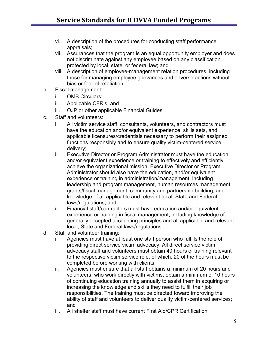- vi. A description of the procedures for conducting staff performance appraisals;
- vii. Assurances that the program is an equal opportunity employer and does not discriminate against any employee based on any classification protected by local, state, or federal law; and
- viii. A description of employee-management relation procedures, including those for managing employee grievances and adverse actions without bias or fear of retaliation.
- b. Fiscal management:
	- i. OMB Circulars;
	- ii. Applicable CFR's; and
	- iii. OJP or other applicable Financial Guides.
- c. Staff and volunteers:
	- i. All victim service staff, consultants, volunteers, and contractors must have the education and/or equivalent experience, skills sets, and applicable licensures/credentials necessary to perform their assigned functions responsibly and to ensure quality victim-centered service delivery;
	- ii. Executive Director or Program Administrator must have the education and/or equivalent experience or training to effectively and efficiently achieve the organizational mission. Executive Director or Program Administrator should also have the education, and/or equivalent experience or training in administration/management, including leadership and program management, human resources management, grants/fiscal management, community and partnership building, and knowledge of all applicable and relevant local, State and Federal laws/regulations; and
	- iii. Financial staff/contractors must have education and/or equivalent experience or training in fiscal management, including knowledge of generally accepted accounting principles and all applicable and relevant local, State and Federal laws/regulations.
- d. Staff and volunteer training:
	- i. Agencies must have at least one staff person who fulfills the role of providing direct service victim advocacy. All direct service victim advocacy staff and volunteers must obtain 40 hours of training relevant to the respective victim service role, of which, 20 of the hours must be completed before working with clients;
	- ii. Agencies must ensure that all staff obtains a minimum of 20 hours and volunteers, who work directly with victims, obtain a minimum of 10 hours of continuing education training annually to assist them in acquiring or increasing the knowledge and skills they need to fulfill their job responsibilities. The training must be directed toward improving the ability of staff and volunteers to deliver quality victim-centered services; and
	- iii. All shelter staff must have current First Aid/CPR Certification.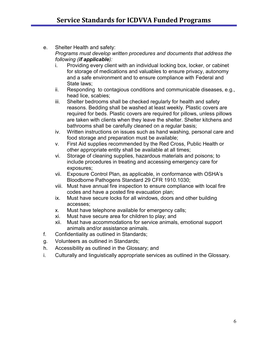- e. Shelter Health and safety: *Programs must develop written procedures and documents that address the following (if applicable):*
	- i. Providing every client with an individual locking box, locker, or cabinet for storage of medications and valuables to ensure privacy, autonomy and a safe environment and to ensure compliance with Federal and State laws;
	- ii. Responding to contagious conditions and communicable diseases, e.g., head lice, scabies;
	- iii. Shelter bedrooms shall be checked regularly for health and safety reasons. Bedding shall be washed at least weekly. Plastic covers are required for beds. Plastic covers are required for pillows, unless pillows are taken with clients when they leave the shelter. Shelter kitchens and bathrooms shall be carefully cleaned on a regular basis;
	- iv. Written instructions on issues such as hand washing, personal care and food storage and preparation must be available;
	- v. First Aid supplies recommended by the Red Cross, Public Health or other appropriate entity shall be available at all times;
	- vi. Storage of cleaning supplies, hazardous materials and poisons; to include procedures in treating and accessing emergency care for exposures;
	- vii. Exposure Control Plan, as applicable, in conformance with OSHA's Bloodborne Pathogens Standard 29 CFR 1910.1030;
	- viii. Must have annual fire inspection to ensure compliance with local fire codes and have a posted fire evacuation plan;
	- ix. Must have secure locks for all windows, doors and other building accesses;
	- x. Must have telephone available for emergency calls;
	- xi. Must have secure area for children to play; and
	- xii. Must have accommodations for service animals, emotional support animals and/or assistance animals.
- f. Confidentiality as outlined in Standards;
- g. Volunteers as outlined in Standards;
- h. Accessibility as outlined in the Glossary; and
- i. Culturally and linguistically appropriate services as outlined in the Glossary.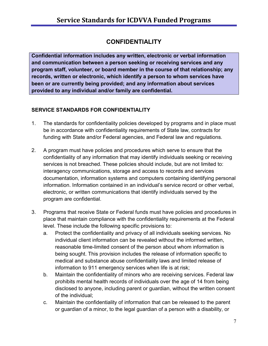## **CONFIDENTIALITY**

**Confidential information includes any written, electronic or verbal information and communication between a person seeking or receiving services and any program staff, volunteer, or board member in the course of that relationship; any records, written or electronic, which identify a person to whom services have been or are currently being provided; and any information about services provided to any individual and/or family are confidential.**

## **SERVICE STANDARDS FOR CONFIDENTIALITY**

- 1. The standards for confidentiality policies developed by programs and in place must be in accordance with confidentiality requirements of State law, contracts for funding with State and/or Federal agencies, and Federal law and regulations.
- 2. A program must have policies and procedures which serve to ensure that the confidentiality of any information that may identify individuals seeking or receiving services is not breached. These policies should include, but are not limited to: interagency communications, storage and access to records and services documentation, information systems and computers containing identifying personal information. Information contained in an individual's service record or other verbal, electronic, or written communications that identify individuals served by the program are confidential.
- 3. Programs that receive State or Federal funds must have policies and procedures in place that maintain compliance with the confidentiality requirements at the Federal level. These include the following specific provisions to:
	- a. Protect the confidentiality and privacy of all individuals seeking services. No individual client information can be revealed without the informed written, reasonable time-limited consent of the person about whom information is being sought. This provision includes the release of information specific to medical and substance abuse confidentiality laws and limited release of information to 911 emergency services when life is at risk;
	- b. Maintain the confidentiality of minors who are receiving services. Federal law prohibits mental health records of individuals over the age of 14 from being disclosed to anyone, including parent or guardian, without the written consent of the individual;
	- c. Maintain the confidentiality of information that can be released to the parent or guardian of a minor, to the legal guardian of a person with a disability, or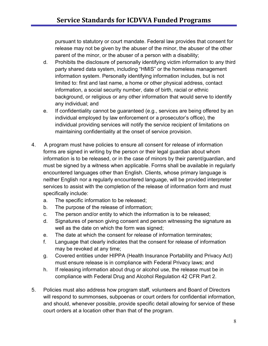pursuant to statutory or court mandate. Federal law provides that consent for release may not be given by the abuser of the minor, the abuser of the other parent of the minor, or the abuser of a person with a disability;

- d. Prohibits the disclosure of personally identifying victim information to any third party shared data system, including "HMIS" or the homeless management information system. Personally identifying information includes, but is not limited to: first and last name, a home or other physical address, contact information, a social security number, date of birth, racial or ethnic background, or religious or any other information that would serve to identify any individual; and
- e. If confidentiality cannot be guaranteed (e.g., services are being offered by an individual employed by law enforcement or a prosecutor's office), the individual providing services will notify the service recipient of limitations on maintaining confidentiality at the onset of service provision.
- 4. A program must have policies to ensure all consent for release of information forms are signed in writing by the person or their legal guardian about whom information is to be released, or in the case of minors by their parent/guardian, and must be signed by a witness when applicable. Forms shall be available in regularly encountered languages other than English. Clients, whose primary language is neither English nor a regularly encountered language, will be provided interpreter services to assist with the completion of the release of information form and must specifically include:
	- a. The specific information to be released;
	- b. The purpose of the release of information;
	- c. The person and/or entity to which the information is to be released;
	- d. Signatures of person giving consent and person witnessing the signature as well as the date on which the form was signed;
	- e. The date at which the consent for release of information terminates;
	- f. Language that clearly indicates that the consent for release of information may be revoked at any time;
	- g. Covered entities under HIPPA (Health Insurance Portability and Privacy Act) must ensure release is in compliance with Federal Privacy laws; and
	- h. If releasing information about drug or alcohol use, the release must be in compliance with Federal Drug and Alcohol Regulation 42 CFR Part 2.
- 5. Policies must also address how program staff, volunteers and Board of Directors will respond to summonses, subpoenas or court orders for confidential information, and should, whenever possible, provide specific detail allowing for service of these court orders at a location other than that of the program.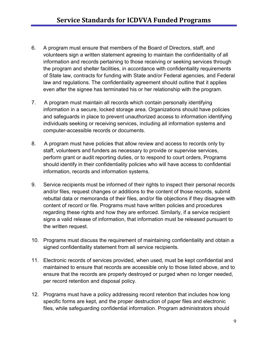- 6. A program must ensure that members of the Board of Directors, staff, and volunteers sign a written statement agreeing to maintain the confidentiality of all information and records pertaining to those receiving or seeking services through the program and shelter facilities, in accordance with confidentiality requirements of State law, contracts for funding with State and/or Federal agencies, and Federal law and regulations. The confidentiality agreement should outline that it applies even after the signee has terminated his or her relationship with the program.
- 7. A program must maintain all records which contain personally identifying information in a secure, locked storage area. Organizations should have policies and safeguards in place to prevent unauthorized access to information identifying individuals seeking or receiving services, including all information systems and computer-accessible records or documents.
- 8. A program must have policies that allow review and access to records only by staff, volunteers and funders as necessary to provide or supervise services, perform grant or audit reporting duties, or to respond to court orders, Programs should identify in their confidentiality policies who will have access to confidential information, records and information systems.
- 9. Service recipients must be informed of their rights to inspect their personal records and/or files, request changes or additions to the content of those records, submit rebuttal data or memoranda of their files, and/or file objections if they disagree with content of record or file. Programs must have written policies and procedures regarding these rights and how they are enforced. Similarly, if a service recipient signs a valid release of information, that information must be released pursuant to the written request.
- 10. Programs must discuss the requirement of maintaining confidentiality and obtain a signed confidentiality statement from all service recipients.
- 11. Electronic records of services provided, when used, must be kept confidential and maintained to ensure that records are accessible only to those listed above, and to ensure that the records are properly destroyed or purged when no longer needed, per record retention and disposal policy.
- 12. Programs must have a policy addressing record retention that includes how long specific forms are kept, and the proper destruction of paper files and electronic files, while safeguarding confidential information. Program administrators should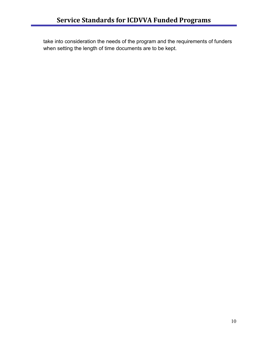take into consideration the needs of the program and the requirements of funders when setting the length of time documents are to be kept.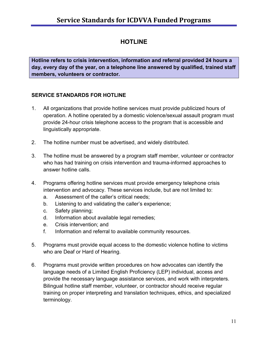## **HOTLINE**

**Hotline refers to crisis intervention, information and referral provided 24 hours a day, every day of the year, on a telephone line answered by qualified, trained staff members, volunteers or contractor.**

#### **SERVICE STANDARDS FOR HOTLINE**

- 1. All organizations that provide hotline services must provide publicized hours of operation. A hotline operated by a domestic violence/sexual assault program must provide 24-hour crisis telephone access to the program that is accessible and linguistically appropriate.
- 2. The hotline number must be advertised, and widely distributed.
- 3. The hotline must be answered by a program staff member, volunteer or contractor who has had training on crisis intervention and trauma-informed approaches to answer hotline calls.
- 4. Programs offering hotline services must provide emergency telephone crisis intervention and advocacy. These services include, but are not limited to:
	- a. Assessment of the caller's critical needs;
	- b. Listening to and validating the caller's experience;
	- c. Safety planning;
	- d. Information about available legal remedies;
	- e. Crisis intervention; and
	- f. Information and referral to available community resources.
- 5. Programs must provide equal access to the domestic violence hotline to victims who are Deaf or Hard of Hearing.
- 6. Programs must provide written procedures on how advocates can identify the language needs of a Limited English Proficiency (LEP) individual, access and provide the necessary language assistance services, and work with interpreters. Bilingual hotline staff member, volunteer, or contractor should receive regular training on proper interpreting and translation techniques, ethics, and specialized terminology.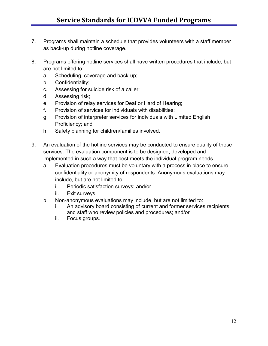- 7. Programs shall maintain a schedule that provides volunteers with a staff member as back-up during hotline coverage.
- 8. Programs offering hotline services shall have written procedures that include, but are not limited to:
	- a. Scheduling, coverage and back-up;
	- b. Confidentiality;
	- c. Assessing for suicide risk of a caller;
	- d. Assessing risk;
	- e. Provision of relay services for Deaf or Hard of Hearing;
	- f. Provision of services for individuals with disabilities;
	- g. Provision of interpreter services for individuals with Limited English Proficiency; and
	- h. Safety planning for children/families involved.
- 9. An evaluation of the hotline services may be conducted to ensure quality of those services. The evaluation component is to be designed, developed and implemented in such a way that best meets the individual program needs.
	- a. Evaluation procedures must be voluntary with a process in place to ensure confidentiality or anonymity of respondents. Anonymous evaluations may include, but are not limited to:
		- i. Periodic satisfaction surveys; and/or
		- ii. Exit surveys.
	- b. Non-anonymous evaluations may include, but are not limited to:
		- i. An advisory board consisting of current and former services recipients and staff who review policies and procedures; and/or
		- ii. Focus groups.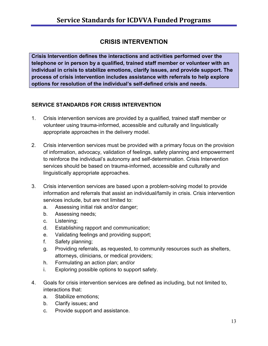## **CRISIS INTERVENTION**

**Crisis Intervention defines the interactions and activities performed over the telephone or in person by a qualified, trained staff member or volunteer with an individual in crisis to stabilize emotions, clarify issues, and provide support. The process of crisis intervention includes assistance with referrals to help explore options for resolution of the individual's self-defined crisis and needs.**

#### **SERVICE STANDARDS FOR CRISIS INTERVENTION**

- 1. Crisis intervention services are provided by a qualified, trained staff member or volunteer using trauma-informed, accessible and culturally and linguistically appropriate approaches in the delivery model.
- 2. Crisis intervention services must be provided with a primary focus on the provision of information, advocacy, validation of feelings, safety planning and empowerment to reinforce the individual's autonomy and self-determination. Crisis Intervention services should be based on trauma-informed, accessible and culturally and linguistically appropriate approaches.
- 3. Crisis intervention services are based upon a problem-solving model to provide information and referrals that assist an individual/family in crisis. Crisis intervention services include, but are not limited to:
	- a. Assessing initial risk and/or danger;
	- b. Assessing needs;
	- c. Listening;
	- d. Establishing rapport and communication;
	- e. Validating feelings and providing support;
	- f. Safety planning;
	- g. Providing referrals, as requested, to community resources such as shelters, attorneys, clinicians, or medical providers;
	- h. Formulating an action plan; and/or
	- i. Exploring possible options to support safety.
- 4. Goals for crisis intervention services are defined as including, but not limited to, interactions that:
	- a. Stabilize emotions;
	- b. Clarify issues; and
	- c. Provide support and assistance.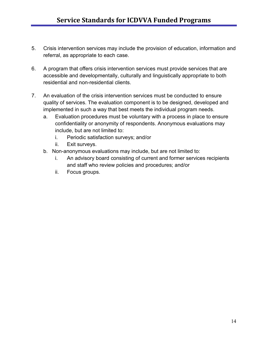- 5. Crisis intervention services may include the provision of education, information and referral, as appropriate to each case.
- 6. A program that offers crisis intervention services must provide services that are accessible and developmentally, culturally and linguistically appropriate to both residential and non-residential clients.
- 7. An evaluation of the crisis intervention services must be conducted to ensure quality of services. The evaluation component is to be designed, developed and implemented in such a way that best meets the individual program needs.
	- a. Evaluation procedures must be voluntary with a process in place to ensure confidentiality or anonymity of respondents. Anonymous evaluations may include, but are not limited to:
		- i. Periodic satisfaction surveys; and/or
		- ii. Exit surveys.
	- b. Non-anonymous evaluations may include, but are not limited to:
		- i. An advisory board consisting of current and former services recipients and staff who review policies and procedures; and/or
		- ii. Focus groups.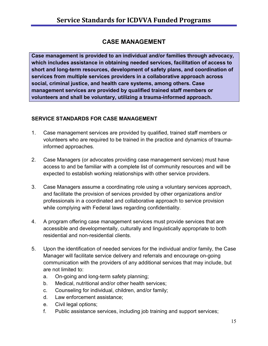## **CASE MANAGEMENT**

**Case management is provided to an individual and/or families through advocacy, which includes assistance in obtaining needed services, facilitation of access to short and long-term resources, development of safety plans, and coordination of services from multiple services providers in a collaborative approach across social, criminal justice, and health care systems, among others. Case management services are provided by qualified trained staff members or volunteers and shall be voluntary, utilizing a trauma-informed approach.**

#### **SERVICE STANDARDS FOR CASE MANAGEMENT**

- 1. Case management services are provided by qualified, trained staff members or volunteers who are required to be trained in the practice and dynamics of traumainformed approaches.
- 2. Case Managers (or advocates providing case management services) must have access to and be familiar with a complete list of community resources and will be expected to establish working relationships with other service providers.
- 3. Case Managers assume a coordinating role using a voluntary services approach, and facilitate the provision of services provided by other organizations and/or professionals in a coordinated and collaborative approach to service provision while complying with Federal laws regarding confidentiality.
- 4. A program offering case management services must provide services that are accessible and developmentally, culturally and linguistically appropriate to both residential and non-residential clients.
- 5. Upon the identification of needed services for the individual and/or family, the Case Manager will facilitate service delivery and referrals and encourage on-going communication with the providers of any additional services that may include, but are not limited to:
	- a. On-going and long-term safety planning;
	- b. Medical, nutritional and/or other health services;
	- c. Counseling for individual, children, and/or family;
	- d. Law enforcement assistance;
	- e. Civil legal options;
	- f. Public assistance services, including job training and support services;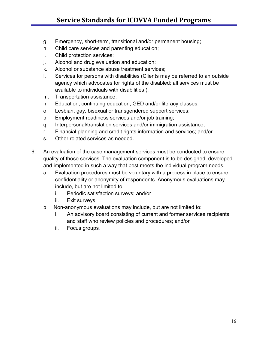- g. Emergency, short-term, transitional and/or permanent housing;
- h. Child care services and parenting education;
- i. Child protection services;
- j. Alcohol and drug evaluation and education;
- k. Alcohol or substance abuse treatment services;
- l. Services for persons with disabilities (Clients may be referred to an outside agency which advocates for rights of the disabled; all services must be available to individuals with disabilities.);
- m. Transportation assistance;
- n. Education, continuing education, GED and/or literacy classes;
- o. Lesbian, gay, bisexual or transgendered support services;
- p. Employment readiness services and/or job training;
- q. Interpersonal/translation services and/or immigration assistance;
- r. Financial planning and credit rights information and services; and/or
- s. Other related services as needed.
- 6. An evaluation of the case management services must be conducted to ensure quality of those services. The evaluation component is to be designed, developed and implemented in such a way that best meets the individual program needs.
	- a. Evaluation procedures must be voluntary with a process in place to ensure confidentiality or anonymity of respondents. Anonymous evaluations may include, but are not limited to:
		- i. Periodic satisfaction surveys; and/or
		- ii. Exit surveys.
	- b. Non-anonymous evaluations may include, but are not limited to:
		- i. An advisory board consisting of current and former services recipients and staff who review policies and procedures; and/or
		- ii. Focus groups**.**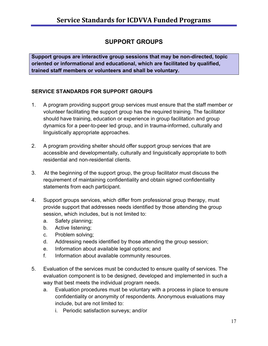## **SUPPORT GROUPS**

**Support groups are interactive group sessions that may be non-directed, topic oriented or informational and educational, which are facilitated by qualified, trained staff members or volunteers and shall be voluntary.**

#### **SERVICE STANDARDS FOR SUPPORT GROUPS**

- 1. A program providing support group services must ensure that the staff member or volunteer facilitating the support group has the required training. The facilitator should have training, education or experience in group facilitation and group dynamics for a peer-to-peer led group, and in trauma-informed, culturally and linguistically appropriate approaches.
- 2. A program providing shelter should offer support group services that are accessible and developmentally, culturally and linguistically appropriate to both residential and non-residential clients.
- 3. At the beginning of the support group, the group facilitator must discuss the requirement of maintaining confidentiality and obtain signed confidentiality statements from each participant.
- 4. Support groups services, which differ from professional group therapy, must provide support that addresses needs identified by those attending the group session, which includes, but is not limited to:
	- a. Safety planning;
	- b. Active listening;
	- c. Problem solving;
	- d. Addressing needs identified by those attending the group session;
	- e. Information about available legal options; and
	- f. Information about available community resources.
- 5. Evaluation of the services must be conducted to ensure quality of services. The evaluation component is to be designed, developed and implemented in such a way that best meets the individual program needs.
	- a. Evaluation procedures must be voluntary with a process in place to ensure confidentiality or anonymity of respondents. Anonymous evaluations may include, but are not limited to:
		- i. Periodic satisfaction surveys; and/or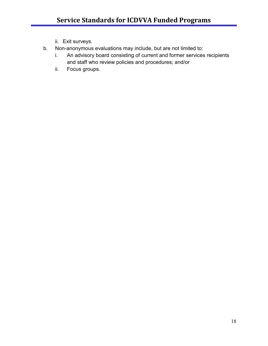- ii. Exit surveys.
- b. Non-anonymous evaluations may include, but are not limited to:
	- i. An advisory board consisting of current and former services recipients and staff who review policies and procedures; and/or
	- ii. Focus groups.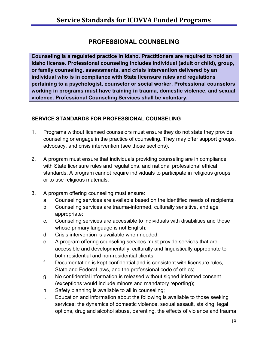## **PROFESSIONAL COUNSELING**

**Counseling is a regulated practice in Idaho. Practitioners are required to hold an Idaho license. Professional counseling includes individual (adult or child), group, or family counseling, assessments, and crisis intervention delivered by an individual who is in compliance with State licensure rules and regulations pertaining to a psychologist, counselor or social worker. Professional counselors working in programs must have training in trauma, domestic violence, and sexual violence. Professional Counseling Services shall be voluntary.**

#### **SERVICE STANDARDS FOR PROFESSIONAL COUNSELING**

- 1. Programs without licensed counselors must ensure they do not state they provide counseling or engage in the practice of counseling. They may offer support groups, advocacy, and crisis intervention (see those sections).
- 2. A program must ensure that individuals providing counseling are in compliance with State licensure rules and regulations, and national professional ethical standards. A program cannot require individuals to participate in religious groups or to use religious materials.
- 3. A program offering counseling must ensure:
	- a. Counseling services are available based on the identified needs of recipients;
	- b. Counseling services are trauma-informed, culturally sensitive, and age appropriate;
	- c. Counseling services are accessible to individuals with disabilities and those whose primary language is not English;
	- d. Crisis intervention is available when needed;
	- e. A program offering counseling services must provide services that are accessible and developmentally, culturally and linguistically appropriate to both residential and non-residential clients;
	- f. Documentation is kept confidential and is consistent with licensure rules, State and Federal laws, and the professional code of ethics;
	- g. No confidential information is released without signed informed consent (exceptions would include minors and mandatory reporting);
	- h. Safety planning is available to all in counseling;
	- i. Education and information about the following is available to those seeking services: the dynamics of domestic violence, sexual assault, stalking, legal options, drug and alcohol abuse, parenting, the effects of violence and trauma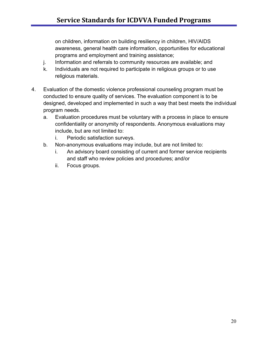on children, information on building resiliency in children, HIV/AIDS awareness, general health care information, opportunities for educational programs and employment and training assistance;

- j. Information and referrals to community resources are available; and
- k. Individuals are not required to participate in religious groups or to use religious materials.
- 4. Evaluation of the domestic violence professional counseling program must be conducted to ensure quality of services. The evaluation component is to be designed, developed and implemented in such a way that best meets the individual program needs.
	- a. Evaluation procedures must be voluntary with a process in place to ensure confidentiality or anonymity of respondents. Anonymous evaluations may include, but are not limited to:
		- i. Periodic satisfaction surveys.
	- b. Non-anonymous evaluations may include, but are not limited to:
		- i. An advisory board consisting of current and former service recipients and staff who review policies and procedures; and/or
		- ii. Focus groups.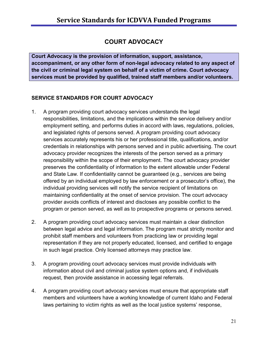## **COURT ADVOCACY**

**Court Advocacy is the provision of information, support, assistance, accompaniment, or any other form of non-legal advocacy related to any aspect of the civil or criminal legal system on behalf of a victim of crime. Court advocacy services must be provided by qualified, trained staff members and/or volunteers.**

#### **SERVICE STANDARDS FOR COURT ADVOCACY**

- 1. A program providing court advocacy services understands the legal responsibilities, limitations, and the implications within the service delivery and/or employment setting, and performs duties in accord with laws, regulations, policies, and legislated rights of persons served. A program providing court advocacy services accurately represents his or her professional title, qualifications, and/or credentials in relationships with persons served and in public advertising. The court advocacy provider recognizes the interests of the person served as a primary responsibility within the scope of their employment. The court advocacy provider preserves the confidentiality of information to the extent allowable under Federal and State Law. If confidentiality cannot be guaranteed (e.g., services are being offered by an individual employed by law enforcement or a prosecutor's office), the individual providing services will notify the service recipient of limitations on maintaining confidentiality at the onset of service provision. The court advocacy provider avoids conflicts of interest and discloses any possible conflict to the program or person served, as well as to prospective programs or persons served.
- 2. A program providing court advocacy services must maintain a clear distinction between legal advice and legal information. The program must strictly monitor and prohibit staff members and volunteers from practicing law or providing legal representation if they are not properly educated, licensed, and certified to engage in such legal practice. Only licensed attorneys may practice law.
- 3. A program providing court advocacy services must provide individuals with information about civil and criminal justice system options and, if individuals request, then provide assistance in accessing legal referrals.
- 4. A program providing court advocacy services must ensure that appropriate staff members and volunteers have a working knowledge of current Idaho and Federal laws pertaining to victim rights as well as the local justice systems' response,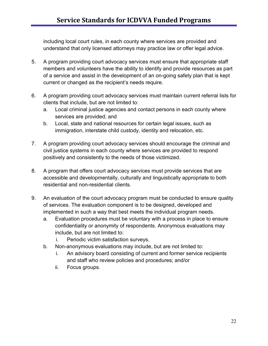including local court rules, in each county where services are provided and understand that only licensed attorneys may practice law or offer legal advice.

- 5. A program providing court advocacy services must ensure that appropriate staff members and volunteers have the ability to identify and provide resources as part of a service and assist in the development of an on-going safety plan that is kept current or changed as the recipient's needs require.
- 6. A program providing court advocacy services must maintain current referral lists for clients that include, but are not limited to:
	- a. Local criminal justice agencies and contact persons in each county where services are provided; and
	- b. Local, state and national resources for certain legal issues, such as immigration, interstate child custody, identity and relocation, etc.
- 7. A program providing court advocacy services should encourage the criminal and civil justice systems in each county where services are provided to respond positively and consistently to the needs of those victimized.
- 8. A program that offers court advocacy services must provide services that are accessible and developmentally, culturally and linguistically appropriate to both residential and non-residential clients.
- 9. An evaluation of the court advocacy program must be conducted to ensure quality of services. The evaluation component is to be designed, developed and implemented in such a way that best meets the individual program needs.
	- a. Evaluation procedures must be voluntary with a process in place to ensure confidentiality or anonymity of respondents. Anonymous evaluations may include, but are not limited to:
		- i. Periodic victim satisfaction surveys.
	- b. Non-anonymous evaluations may include, but are not limited to:
		- i. An advisory board consisting of current and former service recipients and staff who review policies and procedures; and/or
		- ii. Focus groups.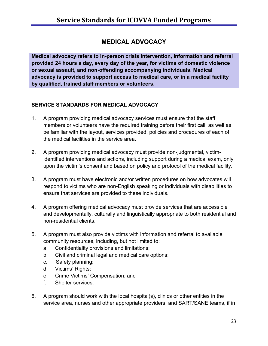## **MEDICAL ADVOCACY**

**Medical advocacy refers to in-person crisis intervention, information and referral provided 24 hours a day, every day of the year, for victims of domestic violence or sexual assault, and non-offending accompanying individuals. Medical advocacy is provided to support access to medical care, or in a medical facility by qualified, trained staff members or volunteers.**

#### **SERVICE STANDARDS FOR MEDICAL ADVOCACY**

- 1. A program providing medical advocacy services must ensure that the staff members or volunteers have the required training before their first call, as well as be familiar with the layout, services provided, policies and procedures of each of the medical facilities in the service area.
- 2. A program providing medical advocacy must provide non-judgmental, victimidentified interventions and actions, including support during a medical exam, only upon the victim's consent and based on policy and protocol of the medical facility.
- 3. A program must have electronic and/or written procedures on how advocates will respond to victims who are non-English speaking or individuals with disabilities to ensure that services are provided to these individuals.
- 4. A program offering medical advocacy must provide services that are accessible and developmentally, culturally and linguistically appropriate to both residential and non-residential clients.
- 5. A program must also provide victims with information and referral to available community resources, including, but not limited to:
	- a. Confidentiality provisions and limitations;
	- b. Civil and criminal legal and medical care options;
	- c. Safety planning;
	- d. Victims' Rights;
	- e. Crime Victims' Compensation; and
	- f. Shelter services.
- 6. A program should work with the local hospital(s), clinics or other entities in the service area, nurses and other appropriate providers, and SART/SANE teams, if in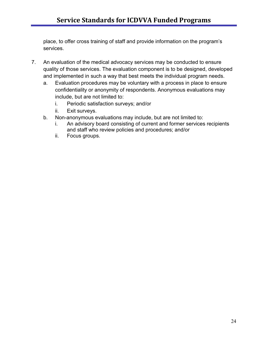place, to offer cross training of staff and provide information on the program's services.

- 7. An evaluation of the medical advocacy services may be conducted to ensure quality of those services. The evaluation component is to be designed, developed and implemented in such a way that best meets the individual program needs.
	- a. Evaluation procedures may be voluntary with a process in place to ensure confidentiality or anonymity of respondents. Anonymous evaluations may include, but are not limited to:
		- i. Periodic satisfaction surveys; and/or
		- ii. Exit surveys.
	- b. Non-anonymous evaluations may include, but are not limited to:
		- i. An advisory board consisting of current and former services recipients and staff who review policies and procedures; and/or
		- ii. Focus groups.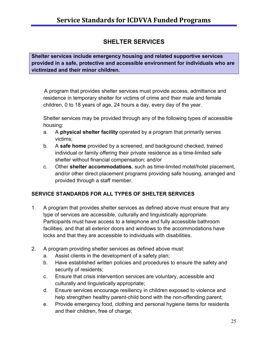## **SHELTER SERVICES**

**Shelter services include emergency housing and related supportive services provided in a safe, protective and accessible environment for individuals who are victimized and their minor children.**

A program that provides shelter services must provide access, admittance and residence in temporary shelter for victims of crime and their male and female children, 0 to 18 years of age, 24 hours a day, every day of the year.

Shelter services may be provided through any of the following types of accessible housing:

- a. A **physical shelter facility** operated by a program that primarily serves victims;
- b. A **safe home** provided by a screened, and background checked, trained individual or family offering their private residence as a time-limited safe shelter without financial compensation; and/or
- c. Other **shelter accommodations**, such as time-limited motel/hotel placement, and/or other direct placement programs providing safe housing, arranged and provided through a staff member.

## **SERVICE STANDARDS FOR ALL TYPES OF SHELTER SERVICES**

- 1. A program that provides shelter services as defined above must ensure that any type of services are accessible, culturally and linguistically appropriate. Participants must have access to a telephone and fully accessible bathroom facilities, and that all exterior doors and windows to the accommodations have locks and that they are accessible to individuals with disabilities.
- 2. A program providing shelter services as defined above must:
	- a. Assist clients in the development of a safety plan;
	- b. Have established written policies and procedures to ensure the safety and security of residents;
	- c. Ensure that crisis intervention services are voluntary, accessible and culturally and linguistically appropriate;
	- d. Ensure services encourage resiliency in children exposed to violence and help strengthen healthy parent-child bond with the non-offending parent;
	- e. Provide emergency food, clothing and personal hygiene items for residents and their children, free of charge;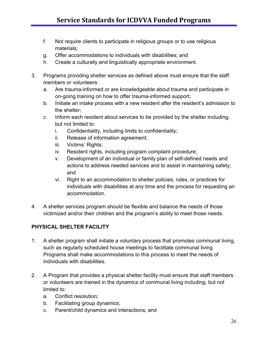- f. Not require clients to participate in religious groups or to use religious materials;
- g. Offer accommodations to individuals with disabilities; and
- h. Create a culturally and linguistically appropriate environment.
- 3. Programs providing shelter services as defined above must ensure that the staff members or volunteers:
	- a. Are trauma-informed or are knowledgeable about trauma and participate in on-going training on how to offer trauma-informed support;
	- b. Initiate an intake process with a new resident after the resident's admission to the shelter;
	- c. Inform each resident about services to be provided by the shelter including, but not limited to:
		- i. Confidentiality, including limits to confidentiality;
		- ii. Release of information agreement;
		- iii. Victims' Rights;
		- iv. Resident rights, including program complaint procedure;
		- v. Development of an individual or family plan of self-defined needs and actions to address needed services and to assist in maintaining safety; and
		- vi. Right to an accommodation to shelter policies, rules, or practices for individuals with disabilities at any time and the process for requesting an accommodation.
- 4. A shelter services program should be flexible and balance the needs of those victimized and/or their children and the program's ability to meet those needs.

#### **PHYSICAL SHELTER FACILITY**

- 1. A shelter program shall initiate a voluntary process that promotes communal living, such as regularly scheduled house meetings to facilitate communal living. Programs shall make accommodations to this process to meet the needs of individuals with disabilities.
- 2. A Program that provides a physical shelter facility must ensure that staff members or volunteers are trained in the dynamics of communal living including, but not limited to:
	- a. Conflict resolution;
	- b. Facilitating group dynamics;
	- c. Parent/child dynamics and interactions; and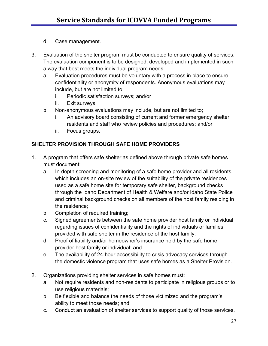- d. Case management.
- 3. Evaluation of the shelter program must be conducted to ensure quality of services. The evaluation component is to be designed, developed and implemented in such a way that best meets the individual program needs.
	- a. Evaluation procedures must be voluntary with a process in place to ensure confidentiality or anonymity of respondents. Anonymous evaluations may include, but are not limited to:
		- i. Periodic satisfaction surveys; and/or
		- ii. Exit surveys.
	- b. Non-anonymous evaluations may include, but are not limited to;
		- i. An advisory board consisting of current and former emergency shelter residents and staff who review policies and procedures; and/or
		- ii. Focus groups.

#### **SHELTER PROVISION THROUGH SAFE HOME PROVIDERS**

- 1. A program that offers safe shelter as defined above through private safe homes must document:
	- a. In-depth screening and monitoring of a safe home provider and all residents, which includes an on-site review of the suitability of the private residences used as a safe home site for temporary safe shelter, background checks through the Idaho Department of Health & Welfare and/or Idaho State Police and criminal background checks on all members of the host family residing in the residence;
	- b. Completion of required training;
	- c. Signed agreements between the safe home provider host family or individual regarding issues of confidentiality and the rights of individuals or families provided with safe shelter in the residence of the host family;
	- d. Proof of liability and/or homeowner's insurance held by the safe home provider host family or individual; and
	- e. The availability of 24-hour accessibility to crisis advocacy services through the domestic violence program that uses safe homes as a Shelter Provision.
- 2. Organizations providing shelter services in safe homes must:
	- a. Not require residents and non-residents to participate in religious groups or to use religious materials;
	- b. Be flexible and balance the needs of those victimized and the program's ability to meet those needs; and
	- c. Conduct an evaluation of shelter services to support quality of those services.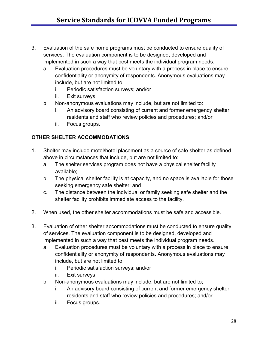- 3. Evaluation of the safe home programs must be conducted to ensure quality of services. The evaluation component is to be designed, developed and implemented in such a way that best meets the individual program needs.
	- a. Evaluation procedures must be voluntary with a process in place to ensure confidentiality or anonymity of respondents. Anonymous evaluations may include, but are not limited to:
		- i. Periodic satisfaction surveys; and/or
		- ii. Exit surveys.
	- b. Non-anonymous evaluations may include, but are not limited to:
		- i. An advisory board consisting of current and former emergency shelter residents and staff who review policies and procedures; and/or
		- ii. Focus groups.

#### **OTHER SHELTER ACCOMMODATIONS**

- 1. Shelter may include motel/hotel placement as a source of safe shelter as defined above in circumstances that include, but are not limited to:
	- a. The shelter services program does not have a physical shelter facility available;
	- b. The physical shelter facility is at capacity, and no space is available for those seeking emergency safe shelter; and
	- c. The distance between the individual or family seeking safe shelter and the shelter facility prohibits immediate access to the facility.
- 2. When used, the other shelter accommodations must be safe and accessible.
- 3. Evaluation of other shelter accommodations must be conducted to ensure quality of services. The evaluation component is to be designed, developed and implemented in such a way that best meets the individual program needs.
	- a. Evaluation procedures must be voluntary with a process in place to ensure confidentiality or anonymity of respondents. Anonymous evaluations may include, but are not limited to:
		- i. Periodic satisfaction surveys; and/or
		- ii. Exit surveys.
	- b. Non-anonymous evaluations may include, but are not limited to;
		- i. An advisory board consisting of current and former emergency shelter residents and staff who review policies and procedures; and/or
		- ii. Focus groups.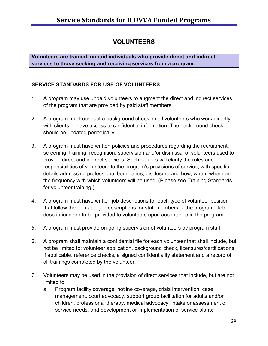## **VOLUNTEERS**

**Volunteers are trained, unpaid individuals who provide direct and indirect services to those seeking and receiving services from a program.**

## **SERVICE STANDARDS FOR USE OF VOLUNTEERS**

- 1. A program may use unpaid volunteers to augment the direct and indirect services of the program that are provided by paid staff members.
- 2. A program must conduct a background check on all volunteers who work directly with clients or have access to confidential information. The background check should be updated periodically.
- 3. A program must have written policies and procedures regarding the recruitment, screening, training, recognition, supervision and/or dismissal of volunteers used to provide direct and indirect services. Such policies will clarify the roles and responsibilities of volunteers to the program's provisions of service, with specific details addressing professional boundaries, disclosure and how, when, where and the frequency with which volunteers will be used. (Please see Training Standards for volunteer training.)
- 4. A program must have written job descriptions for each type of volunteer position that follow the format of job descriptions for staff members of the program. Job descriptions are to be provided to volunteers upon acceptance in the program.
- 5. A program must provide on-going supervision of volunteers by program staff.
- 6. A program shall maintain a confidential file for each volunteer that shall include, but not be limited to: volunteer application, background check, licensures/certifications if applicable, reference checks, a signed confidentiality statement and a record of all trainings completed by the volunteer.
- 7. Volunteers may be used in the provision of direct services that include, but are not limited to:
	- a. Program facility coverage, hotline coverage, crisis intervention, case management, court advocacy, support group facilitation for adults and/or children, professional therapy, medical advocacy, intake or assessment of service needs, and development or implementation of service plans;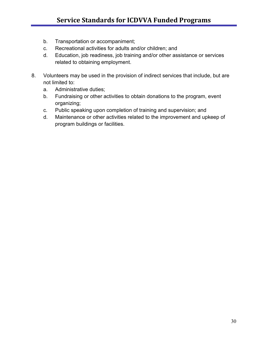- b. Transportation or accompaniment;
- c. Recreational activities for adults and/or children; and
- d. Education, job readiness, job training and/or other assistance or services related to obtaining employment.
- 8. Volunteers may be used in the provision of indirect services that include, but are not limited to:
	- a. Administrative duties;
	- b. Fundraising or other activities to obtain donations to the program, event organizing;
	- c. Public speaking upon completion of training and supervision; and
	- d. Maintenance or other activities related to the improvement and upkeep of program buildings or facilities.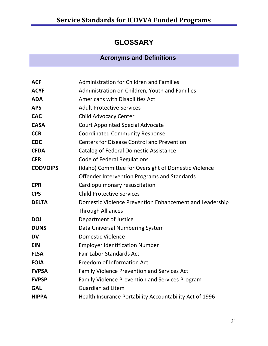# **GLOSSARY**

## **Acronyms and Definitions**

| <b>ACF</b>      | <b>Administration for Children and Families</b>         |
|-----------------|---------------------------------------------------------|
| <b>ACYF</b>     | Administration on Children, Youth and Families          |
| <b>ADA</b>      | Americans with Disabilities Act                         |
| <b>APS</b>      | <b>Adult Protective Services</b>                        |
| <b>CAC</b>      | <b>Child Advocacy Center</b>                            |
| <b>CASA</b>     | <b>Court Appointed Special Advocate</b>                 |
| <b>CCR</b>      | <b>Coordinated Community Response</b>                   |
| <b>CDC</b>      | <b>Centers for Disease Control and Prevention</b>       |
| <b>CFDA</b>     | <b>Catalog of Federal Domestic Assistance</b>           |
| <b>CFR</b>      | <b>Code of Federal Regulations</b>                      |
| <b>CODVOIPS</b> | (Idaho) Committee for Oversight of Domestic Violence    |
|                 | Offender Intervention Programs and Standards            |
| <b>CPR</b>      | Cardiopulmonary resuscitation                           |
| <b>CPS</b>      | <b>Child Protective Services</b>                        |
| <b>DELTA</b>    | Domestic Violence Prevention Enhancement and Leadership |
|                 | <b>Through Alliances</b>                                |
| <b>DOJ</b>      | Department of Justice                                   |
| <b>DUNS</b>     | Data Universal Numbering System                         |
| <b>DV</b>       | <b>Domestic Violence</b>                                |
| <b>EIN</b>      | <b>Employer Identification Number</b>                   |
| <b>FLSA</b>     | <b>Fair Labor Standards Act</b>                         |
| <b>FOIA</b>     | Freedom of Information Act                              |
| <b>FVPSA</b>    | <b>Family Violence Prevention and Services Act</b>      |
| <b>FVPSP</b>    | <b>Family Violence Prevention and Services Program</b>  |
| <b>GAL</b>      | <b>Guardian ad Litem</b>                                |
| <b>HIPPA</b>    | Health Insurance Portability Accountability Act of 1996 |
|                 |                                                         |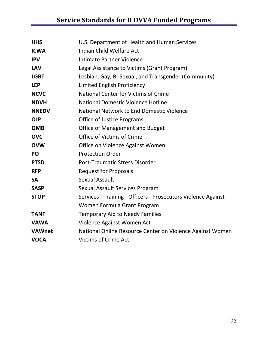# **Service Standards for ICDVVA Funded Programs**

| <b>HHS</b>    | U.S. Department of Health and Human Services                  |
|---------------|---------------------------------------------------------------|
| <b>ICWA</b>   | Indian Child Welfare Act                                      |
| <b>IPV</b>    | Intimate Partner Violence                                     |
| <b>LAV</b>    | Legal Assistance to Victims (Grant Program)                   |
| <b>LGBT</b>   | Lesbian, Gay, Bi-Sexual, and Transgender (Community)          |
| <b>LEP</b>    | Limited English Proficiency                                   |
| <b>NCVC</b>   | <b>National Center for Victims of Crime</b>                   |
| <b>NDVH</b>   | <b>National Domestic Violence Hotline</b>                     |
| <b>NNEDV</b>  | National Network to End Domestic Violence                     |
| <b>OJP</b>    | <b>Office of Justice Programs</b>                             |
| <b>OMB</b>    | Office of Management and Budget                               |
| <b>OVC</b>    | Office of Victims of Crime                                    |
| <b>OVW</b>    | Office on Violence Against Women                              |
| PO            | <b>Protection Order</b>                                       |
| <b>PTSD</b>   | <b>Post-Traumatic Stress Disorder</b>                         |
| <b>RFP</b>    | <b>Request for Proposals</b>                                  |
| <b>SA</b>     | Sexual Assault                                                |
| <b>SASP</b>   | Sexual Assault Services Program                               |
| <b>STOP</b>   | Services - Training - Officers - Prosecutors Violence Against |
|               | Women Formula Grant Program                                   |
| <b>TANF</b>   | <b>Temporary Aid to Needy Families</b>                        |
| <b>VAWA</b>   | Violence Against Women Act                                    |
| <b>VAWnet</b> | National Online Resource Center on Violence Against Women     |
| <b>VOCA</b>   | <b>Victims of Crime Act</b>                                   |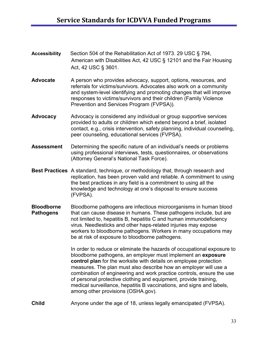- **Accessibility** Section 504 of the Rehabilitation Act of 1973. 29 USC § 794, American with Disabilities Act, 42 USC § 12101 and the Fair Housing Act, 42 USC § 3601.
- Advocate A person who provides advocacy, support, options, resources, and referrals for victims/survivors. Advocates also work on a community and system-level identifying and promoting changes that will improve responses to victims/survivors and their children (Family Violence Prevention and Services Program (FVPSA)).
- **Advocacy** Advocacy is considered any individual or group supportive services provided to adults or children which extend beyond a brief, isolated contact, e.g., crisis intervention, safety planning, individual counseling, peer counseling, educational services (FVPSA).
- **Assessment** Determining the specific nature of an individual's needs or problems using professional interviews, tests, questionnaires, or observations (Attorney General's National Task Force).
- **Best Practices** A standard, technique, or methodology that, through research and replication, has been proven valid and reliable. A commitment to using the best practices in any field is a commitment to using all the knowledge and technology at one's disposal to ensure success (FVPSA).
- **Bloodborne** Bloodborne pathogens are infectious microorganisms in human blood **Pathogens** that can cause disease in humans. These pathogens include, but are not limited to, hepatitis B, hepatitis C and human immunodeficiency virus. Needlesticks and other haps-related injuries may expose workers to bloodborne pathogens. Workers in many occupations may be at risk of exposure to bloodborne pathogens.

In order to reduce or eliminate the hazards of occupational exposure to bloodborne pathogens, an employer must implement an **exposure control plan** for the worksite with details on employee protection measures. The plan must also describe how an employer will use a combination of engineering and work practice controls, ensure the use of personal protective clothing and equipment, provide training, medical surveillance, hepatitis B vaccinations, and signs and labels, among other provisions (OSHA.gov).

**Child** Anyone under the age of 18, unless legally emancipated (FVPSA).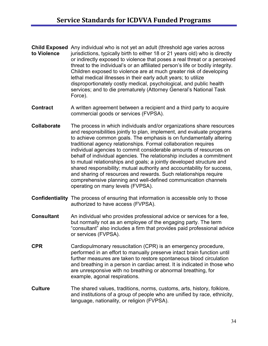- **Child Exposed** Any individual who is not yet an adult (threshold age varies across **to Violence** jurisdictions, typically birth to either 18 or 21 years old) who is directly or indirectly exposed to violence that poses a real threat or a perceived threat to the individual's or an affiliated person's life or bodily integrity. Children exposed to violence are at much greater risk of developing lethal medical illnesses in their early adult years; to utilize disproportionately costly medical, psychological, and public health services; and to die prematurely (Attorney General's National Task Force).
- **Contract** A written agreement between a recipient and a third party to acquire commercial goods or services (FVPSA).
- **Collaborate** The process in which individuals and/or organizations share resources and responsibilities jointly to plan, implement, and evaluate programs to achieve common goals. The emphasis is on fundamentally altering traditional agency relationships. Formal collaboration requires individual agencies to commit considerable amounts of resources on behalf of individual agencies. The relationship includes a commitment to mutual relationships and goals; a jointly developed structure and shared responsibility; mutual authority and accountability for success, and sharing of resources and rewards. Such relationships require comprehensive planning and well-defined communication channels operating on many levels (FVPSA).
- **Confidentiality** The process of ensuring that information is accessible only to those authorized to have access (FVPSA).
- **Consultant** An individual who provides professional advice or services for a fee, but normally not as an employee of the engaging party. The term "consultant" also includes a firm that provides paid professional advice or services (FVPSA).
- **CPR** Cardiopulmonary resuscitation (CPR) is an emergency procedure, performed in an effort to manually preserve intact brain function until further measures are taken to restore spontaneous blood circulation and breathing in a person in cardiac arrest. It is indicated in those who are unresponsive with no breathing or abnormal breathing, for example, agonal respirations.
- **Culture** The shared values, traditions, norms, customs, arts, history, folklore, and institutions of a group of people who are unified by race, ethnicity, language, nationality, or religion (FVPSA).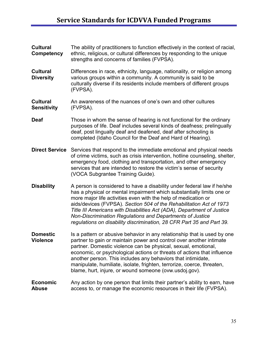| <b>Cultural</b><br>Competency         | The ability of practitioners to function effectively in the context of racial,<br>ethnic, religious, or cultural differences by responding to the unique<br>strengths and concerns of families (FVPSA).                                                                                                                                                                                                                                                                                                   |
|---------------------------------------|-----------------------------------------------------------------------------------------------------------------------------------------------------------------------------------------------------------------------------------------------------------------------------------------------------------------------------------------------------------------------------------------------------------------------------------------------------------------------------------------------------------|
| <b>Cultural</b><br><b>Diversity</b>   | Differences in race, ethnicity, language, nationality, or religion among<br>various groups within a community. A community is said to be<br>culturally diverse if its residents include members of different groups<br>(FVPSA).                                                                                                                                                                                                                                                                           |
| <b>Cultural</b><br><b>Sensitivity</b> | An awareness of the nuances of one's own and other cultures<br>(FVPSA).                                                                                                                                                                                                                                                                                                                                                                                                                                   |
| <b>Deaf</b>                           | Those in whom the sense of hearing is not functional for the ordinary<br>purposes of life. Deaf includes several kinds of deafness; prelingually<br>deaf, post lingually deaf and deafened, deaf after schooling is<br>completed (Idaho Council for the Deaf and Hard of Hearing).                                                                                                                                                                                                                        |
|                                       | <b>Direct Service</b> Services that respond to the immediate emotional and physical needs<br>of crime victims, such as crisis intervention, hotline counseling, shelter,<br>emergency food, clothing and transportation, and other emergency<br>services that are intended to restore the victim's sense of security<br>(VOCA Subgrantee Training Guide).                                                                                                                                                 |
| <b>Disability</b>                     | A person is considered to have a disability under federal law if he/she<br>has a physical or mental impairment which substantially limits one or<br>more major life activities even with the help of medication or<br>aids/devices (FVPSA). Section 504 of the Rehabilitation Act of 1973<br>Title III Americans with Disabilities Act (ADA), Department of Justice<br>Non-Discrimination Regulations and Departments of Justice<br>regulations on disability discrimination, 28 CFR Part 35 and Part 39. |
| <b>Domestic</b><br><b>Violence</b>    | Is a pattern or abusive behavior in any relationship that is used by one<br>partner to gain or maintain power and control over another intimate<br>partner. Domestic violence can be physical, sexual, emotional,<br>economic, or psychological actions or threats of actions that influence<br>another person. This includes any behaviors that intimidate,<br>manipulate, humiliate, isolate, frighten, terrorize, coerce, threaten,<br>blame, hurt, injure, or wound someone (ovw.usdoj.gov).          |
| <b>Economic</b><br><b>Abuse</b>       | Any action by one person that limits their partner's ability to earn, have<br>access to, or manage the economic resources in their life (FVPSA).                                                                                                                                                                                                                                                                                                                                                          |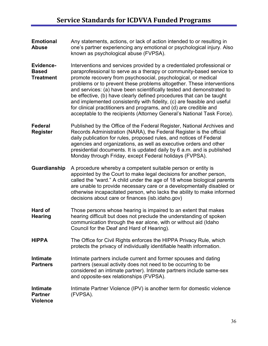- **Emotional** Any statements, actions, or lack of action intended to or resulting in **Abuse** one's partner experiencing any emotional or psychological injury. Also known as psychological abuse (FVPSA).
- **Evidence-** Interventions and services provided by a credentialed professional or **Based** paraprofessional to serve as a therapy or community-based service to<br> **Treatment** promote recovery from psychosocial, psychological, or medical promote recovery from psychosocial, psychological, or medical problems or to prevent these problems altogether. These interventions and services: (a) have been scientifically tested and demonstrated to be effective, (b) have clearly defined procedures that can be taught and implemented consistently with fidelity, (c) are feasible and useful for clinical practitioners and programs, and (d) are credible and acceptable to the recipients (Attorney General's National Task Force).

**Federal** Published by the Office of the Federal Register, National Archives and **Register** Records Administration (NARA), the Federal Register is the official daily publication for rules, proposed rules, and notices of Federal agencies and organizations, as well as executive orders and other presidential documents. It is updated daily by 6 a.m. and is published Monday through Friday, except Federal holidays (FVPSA).

- **Guardianship** A procedure whereby a competent suitable person or entity is appointed by the Court to make legal decisions for another person, called the "ward." A child under the age of 18 whose biological parents are unable to provide necessary care or a developmentally disabled or otherwise incapacitated person, who lacks the ability to make informed decisions about care or finances (isb.idaho.gov)
- **Hard of** Those persons whose hearing is impaired to an extent that makes<br>**Hearing** hearing difficult but does not preclude the understanding of spoken hearing difficult but does not preclude the understanding of spoken communication through the ear alone, with or without aid (Idaho Council for the Deaf and Hard of Hearing).
- **HIPPA** The Office for Civil Rights enforces the HIPPA Privacy Rule, which protects the privacy of individually identifiable health information.
- **Intimate** Intimate partners include current and former spouses and dating **Partners** partners (sexual activity does not need to be occurring to be considered an intimate partner). Intimate partners include same-sex and opposite-sex relationships (FVPSA).

#### **Intimate** Intimate Partner Violence (IPV) is another term for domestic violence **Partner** (FVPSA). **Violence**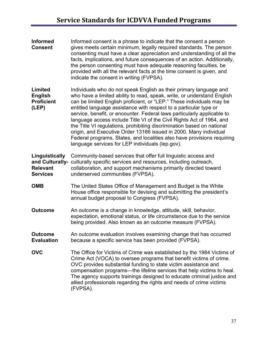**Informed** Informed consent is a phrase to indicate that the consent a person<br>**Consent** a vives meets certain minimum. legally required standards. The person **Consent** gives meets certain minimum, legally required standards. The person consenting must have a clear appreciation and understanding of all the facts, implications, and future consequences of an action. Additionally, the person consenting must have adequate reasoning faculties, be provided with all the relevant facts at the time consent is given, and indicate the consent in writing (FVPSA). **Limited** Individuals who do not speak English as their primary language and **English** who have a limited ability to read, speak, write, or understand English **Proficient** can be limited English proficient, or "LEP." These individuals may be **(LEP)** entitled language assistance with respect to a particular type or service, benefit, or encounter. Federal laws particularly applicable to language access include Title VI of the Civil Rights Act of 1964, and the Title VI regulations, prohibiting discrimination based on national origin, and Executive Order 13166 issued in 2000. Many individual Federal programs, States, and localities also have provisions requiring language services for LEP individuals (lep.gov). **Linguistically** Community-based services that offer full linguistic access and **and Culturally-** culturally specific services and resources, including outreach, **Relevant** collaboration, and support mechanisms primarily directed toward **Services** underserved communities (FVPSA). **OMB** The United States Office of Management and Budget is the White House office responsible for devising and submitting the president's annual budget proposal to Congress (FVPSA). **Outcome** An outcome is a change in knowledge, attitude, skill, behavior, expectation, emotional status, or life circumstance due to the service being provided. Also known as an outcome measure (FVPSA). **Outcome** An outcome evaluation involves examining change that has occurred **Evaluation** because a specific service has been provided (FVPSA). **OVC** The Office for Victims of Crime was established by the 1984 Victims of Crime Act (VOCA) to oversee programs that benefit victims of crime. OVC provides substantial funding to state victim assistance and compensation programs—the lifeline services that help victims to heal. The agency supports trainings designed to educate criminal justice and allied professionals regarding the rights and needs of crime victims (FVPSA).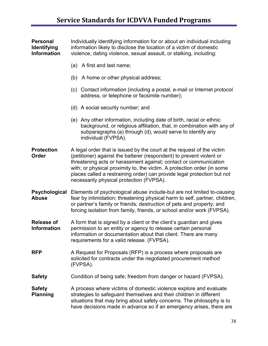| <b>Personal</b><br><b>Identifying</b><br><b>Information</b> | Individually identifying information for or about an individual including<br>information likely to disclose the location of a victim of domestic<br>violence, dating violence, sexual assault, or stalking, including:                                                                                                                                                                                               |
|-------------------------------------------------------------|----------------------------------------------------------------------------------------------------------------------------------------------------------------------------------------------------------------------------------------------------------------------------------------------------------------------------------------------------------------------------------------------------------------------|
|                                                             | (a) A first and last name;                                                                                                                                                                                                                                                                                                                                                                                           |
|                                                             | (b) A home or other physical address;                                                                                                                                                                                                                                                                                                                                                                                |
|                                                             | (c) Contact information (including a postal, e-mail or Internet protocol<br>address, or telephone or facsimile number);                                                                                                                                                                                                                                                                                              |
|                                                             | (d) A social security number; and                                                                                                                                                                                                                                                                                                                                                                                    |
|                                                             | (e) Any other information, including date of birth, racial or ethnic<br>background, or religious affiliation, that, in combination with any of<br>subparagraphs (a) through (d), would serve to identify any<br>individual (FVPSA).                                                                                                                                                                                  |
| <b>Protection</b><br>Order                                  | A legal order that is issued by the court at the request of the victim<br>(petitioner) against the batterer (respondent) to prevent violent or<br>threatening acts or harassment against; contact or communication<br>with; or physical proximity to, the victim. A protection order (in some<br>places called a restraining order) can provide legal protection but not<br>necessarily physical protection (FVPSA). |
| Psychological<br><b>Abuse</b>                               | Elements of psychological abuse include-but are not limited to-causing<br>fear by intimidation; threatening physical harm to self, partner, children,<br>or partner's family or friends; destruction of pets and property; and<br>forcing isolation from family, friends, or school and/or work (FVPSA).                                                                                                             |
| <b>Release of</b><br><b>Information</b>                     | A form that is signed by a client or the client's guardian and gives<br>permission to an entity or agency to release certain personal<br>information or documentation about that client. There are many<br>requirements for a valid release. (FVPSA).                                                                                                                                                                |
| <b>RFP</b>                                                  | A Request for Proposals (RFP) is a process where proposals are<br>solicited for contracts under the negotiated procurement method<br>(FVPSA).                                                                                                                                                                                                                                                                        |
| <b>Safety</b>                                               | Condition of being safe; freedom from danger or hazard (FVPSA).                                                                                                                                                                                                                                                                                                                                                      |
| <b>Safety</b><br><b>Planning</b>                            | A process where victims of domestic violence explore and evaluate<br>strategies to safeguard themselves and their children in different<br>situations that may bring about safety concerns. The philosophy is to<br>have decisions made in advance so if an emergency arises, there are                                                                                                                              |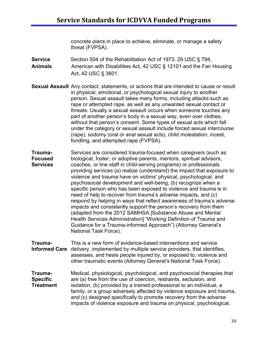concrete plans in place to achieve, eliminate, or manage a safety threat (FVPSA).

- **Service** Section 504 of the Rehabilitation Act of 1973. 29 USC § 794, **Animals** American with Disabilities Act, 42 USC § 12101 and the Fair Housing Act, 42 USC § 3601.
- **Sexual Assault** Any contact, statements, or actions that are intended to cause or result in physical, emotional, or psychological sexual injury to another person. Sexual assault takes many forms, including attacks such as rape or attempted rape, as well as any unwanted sexual contact or threats. Usually a sexual assault occurs when someone touches any part of another person's body in a sexual way, even over clothes, without that person's consent. Some types of sexual acts which fall under the category or sexual assault include forced sexual intercourse (rape), sodomy (oral or anal sexual acts), child molestation, incest, fondling, and attempted rape (FVPSA).
- **Trauma-** Services are considered trauma-focused when caregivers (such as **Focused** biological, foster, or adoptive parents, mentors, spiritual advisors,<br>**Services** coaches, or line staff in child-serving programs) or professionals **Services** coaches, or line staff in child-serving programs) or professionals providing services (a) realize (understand) the impact that exposure to violence and trauma have on victims' physical, psychological, and psychosocial development and well-being, (b) recognize when a specific person who has been exposed to violence and trauma is in need of help to recover from trauma's adverse impacts, and (c) respond by helping in ways that reflect awareness of trauma's adverse impacts and consistently support the person's recovery from them (adapted from the 2012 SAMHSA [Substance Abuse and Mental Health Services Administration] "Working Definition of Trauma and Guidance for a Trauma-informed Approach") (Attorney General's National Task Force).
- **Trauma-** This is a new form of evidence-based interventions and service **Informed Care** delivery, implemented by multiple service providers, that identifies, assesses, and heals people injured by, or exposed to, violence and other traumatic events (Attorney General's National Task Force).
- **Trauma-** Medical, physiological, psychological, and psychosocial therapies that **Specific** are (a) free from the use of coercion, restraints, seclusion, and **Treatment** isolation, (b) provided by a trained professional to an individual, a family, or a group adversely affected by violence exposure and trauma, and (c) designed specifically to promote recovery from the adverse impacts of violence exposure and trauma on physical, psychological,